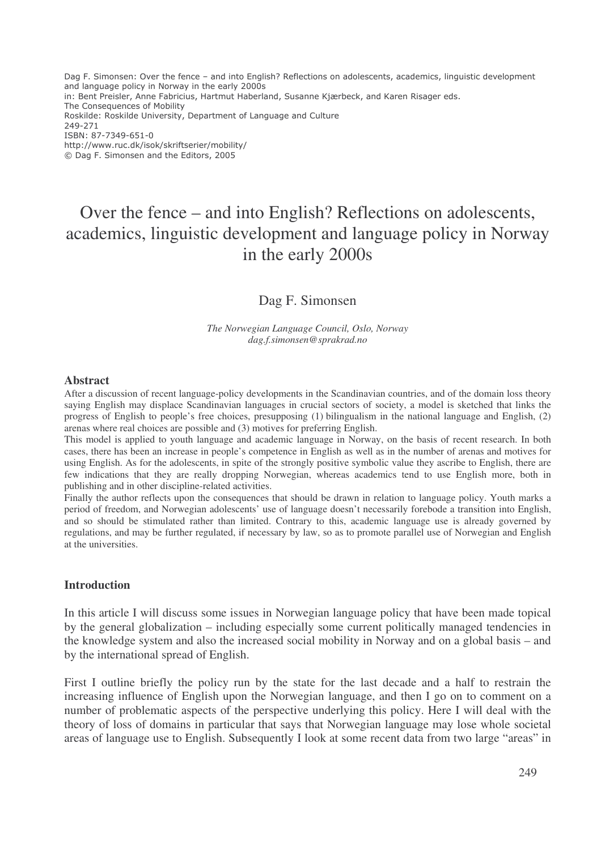Dag F. Simonsen: Over the fence – and into English? Reflections on adolescents, academics, linguistic development and language policy in Norway in the early 2000s in: Bent Preisler, Anne Fabricius, Hartmut Haberland, Susanne Kjærbeck, and Karen Risager eds. The Consequences of Mobility Roskilde: Roskilde University, Department of Language and Culture 249-271 ISBN: 87-7349-651-0 http://www.ruc.dk/isok/skriftserier/mobility/ © Dag F. Simonsen and the Editors, 2005

# Over the fence – and into English? Reflections on adolescents, academics, linguistic development and language policy in Norway in the early 2000s

# Dag F. Simonsen

*The Norwegian Language Council, Oslo, Norway dag.f.simonsen@sprakrad.no*

#### **Abstract**

After a discussion of recent language-policy developments in the Scandinavian countries, and of the domain loss theory saying English may displace Scandinavian languages in crucial sectors of society, a model is sketched that links the progress of English to people's free choices, presupposing (1) bilingualism in the national language and English, (2) arenas where real choices are possible and (3) motives for preferring English.

This model is applied to youth language and academic language in Norway, on the basis of recent research. In both cases, there has been an increase in people's competence in English as well as in the number of arenas and motives for using English. As for the adolescents, in spite of the strongly positive symbolic value they ascribe to English, there are few indications that they are really dropping Norwegian, whereas academics tend to use English more, both in publishing and in other discipline-related activities.

Finally the author reflects upon the consequences that should be drawn in relation to language policy. Youth marks a period of freedom, and Norwegian adolescents' use of language doesn't necessarily forebode a transition into English, and so should be stimulated rather than limited. Contrary to this, academic language use is already governed by regulations, and may be further regulated, if necessary by law, so as to promote parallel use of Norwegian and English at the universities.

#### **Introduction**

In this article I will discuss some issues in Norwegian language policy that have been made topical by the general globalization – including especially some current politically managed tendencies in the knowledge system and also the increased social mobility in Norway and on a global basis – and by the international spread of English.

First I outline briefly the policy run by the state for the last decade and a half to restrain the increasing influence of English upon the Norwegian language, and then I go on to comment on a number of problematic aspects of the perspective underlying this policy. Here I will deal with the theory of loss of domains in particular that says that Norwegian language may lose whole societal areas of language use to English. Subsequently I look at some recent data from two large "areas" in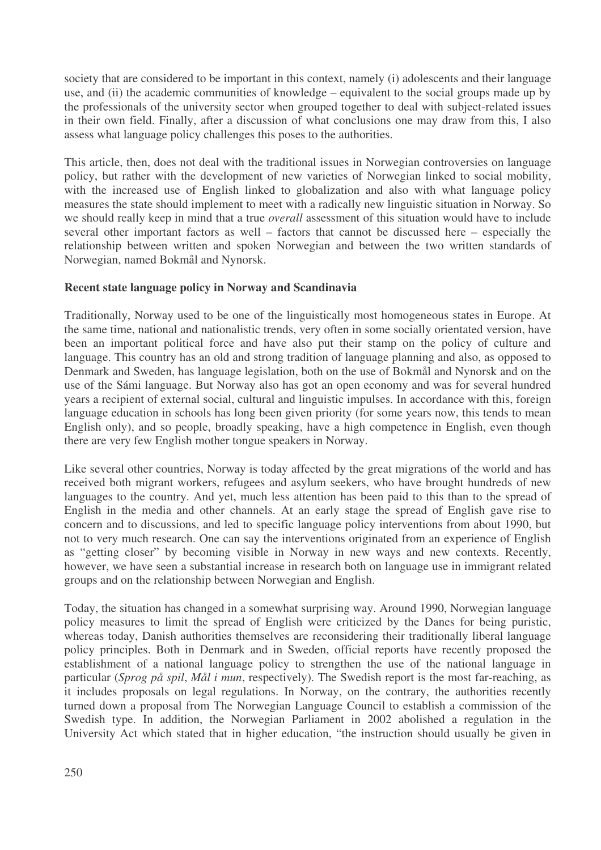society that are considered to be important in this context, namely (i) adolescents and their language use, and (ii) the academic communities of knowledge – equivalent to the social groups made up by the professionals of the university sector when grouped together to deal with subject-related issues in their own field. Finally, after a discussion of what conclusions one may draw from this, I also assess what language policy challenges this poses to the authorities.

This article, then, does not deal with the traditional issues in Norwegian controversies on language policy, but rather with the development of new varieties of Norwegian linked to social mobility, with the increased use of English linked to globalization and also with what language policy measures the state should implement to meet with a radically new linguistic situation in Norway. So we should really keep in mind that a true *overall* assessment of this situation would have to include several other important factors as well – factors that cannot be discussed here – especially the relationship between written and spoken Norwegian and between the two written standards of Norwegian, named Bokmål and Nynorsk.

# **Recent state language policy in Norway and Scandinavia**

Traditionally, Norway used to be one of the linguistically most homogeneous states in Europe. At the same time, national and nationalistic trends, very often in some socially orientated version, have been an important political force and have also put their stamp on the policy of culture and language. This country has an old and strong tradition of language planning and also, as opposed to Denmark and Sweden, has language legislation, both on the use of Bokmål and Nynorsk and on the use of the Sámi language. But Norway also has got an open economy and was for several hundred years a recipient of external social, cultural and linguistic impulses. In accordance with this, foreign language education in schools has long been given priority (for some years now, this tends to mean English only), and so people, broadly speaking, have a high competence in English, even though there are very few English mother tongue speakers in Norway.

Like several other countries, Norway is today affected by the great migrations of the world and has received both migrant workers, refugees and asylum seekers, who have brought hundreds of new languages to the country. And yet, much less attention has been paid to this than to the spread of English in the media and other channels. At an early stage the spread of English gave rise to concern and to discussions, and led to specific language policy interventions from about 1990, but not to very much research. One can say the interventions originated from an experience of English as "getting closer" by becoming visible in Norway in new ways and new contexts. Recently, however, we have seen a substantial increase in research both on language use in immigrant related groups and on the relationship between Norwegian and English.

Today, the situation has changed in a somewhat surprising way. Around 1990, Norwegian language policy measures to limit the spread of English were criticized by the Danes for being puristic, whereas today, Danish authorities themselves are reconsidering their traditionally liberal language policy principles. Both in Denmark and in Sweden, official reports have recently proposed the establishment of a national language policy to strengthen the use of the national language in particular (*Sprog på spil*, *Mål i mun*, respectively). The Swedish report is the most far-reaching, as it includes proposals on legal regulations. In Norway, on the contrary, the authorities recently turned down a proposal from The Norwegian Language Council to establish a commission of the Swedish type. In addition, the Norwegian Parliament in 2002 abolished a regulation in the University Act which stated that in higher education, "the instruction should usually be given in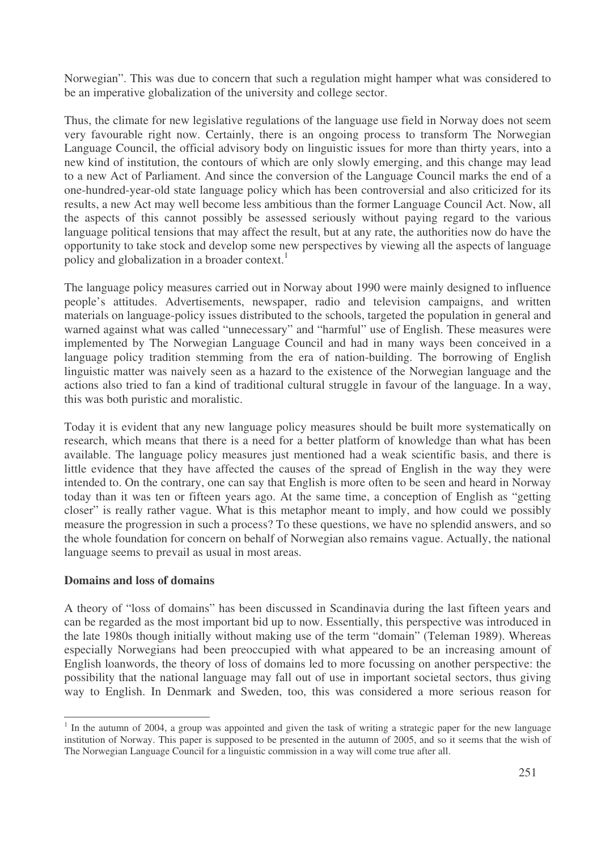Norwegian". This was due to concern that such a regulation might hamper what was considered to be an imperative globalization of the university and college sector.

Thus, the climate for new legislative regulations of the language use field in Norway does not seem very favourable right now. Certainly, there is an ongoing process to transform The Norwegian Language Council, the official advisory body on linguistic issues for more than thirty years, into a new kind of institution, the contours of which are only slowly emerging, and this change may lead to a new Act of Parliament. And since the conversion of the Language Council marks the end of a one-hundred-year-old state language policy which has been controversial and also criticized for its results, a new Act may well become less ambitious than the former Language Council Act. Now, all the aspects of this cannot possibly be assessed seriously without paying regard to the various language political tensions that may affect the result, but at any rate, the authorities now do have the opportunity to take stock and develop some new perspectives by viewing all the aspects of language policy and globalization in a broader context. 1

The language policy measures carried out in Norway about 1990 were mainly designed to influence people's attitudes. Advertisements, newspaper, radio and television campaigns, and written materials on language-policy issues distributed to the schools, targeted the population in general and warned against what was called "unnecessary" and "harmful" use of English. These measures were implemented by The Norwegian Language Council and had in many ways been conceived in a language policy tradition stemming from the era of nation-building. The borrowing of English linguistic matter was naively seen as a hazard to the existence of the Norwegian language and the actions also tried to fan a kind of traditional cultural struggle in favour of the language. In a way, this was both puristic and moralistic.

Today it is evident that any new language policy measures should be built more systematically on research, which means that there is a need for a better platform of knowledge than what has been available. The language policy measures just mentioned had a weak scientific basis, and there is little evidence that they have affected the causes of the spread of English in the way they were intended to. On the contrary, one can say that English is more often to be seen and heard in Norway today than it was ten or fifteen years ago. At the same time, a conception of English as "getting closer" is really rather vague. What is this metaphor meant to imply, and how could we possibly measure the progression in such a process? To these questions, we have no splendid answers, and so the whole foundation for concern on behalf of Norwegian also remains vague. Actually, the national language seems to prevail as usual in most areas.

## **Domains and loss of domains**

A theory of "loss of domains" has been discussed in Scandinavia during the last fifteen years and can be regarded as the most important bid up to now. Essentially, this perspective was introduced in the late 1980s though initially without making use of the term "domain" (Teleman 1989). Whereas especially Norwegians had been preoccupied with what appeared to be an increasing amount of English loanwords, the theory of loss of domains led to more focussing on another perspective: the possibility that the national language may fall out of use in important societal sectors, thus giving way to English. In Denmark and Sweden, too, this was considered a more serious reason for

<sup>&</sup>lt;sup>1</sup> In the autumn of 2004, a group was appointed and given the task of writing a strategic paper for the new language institution of Norway. This paper is supposed to be presented in the autumn of 2005, and so it seems that the wish of The Norwegian Language Council for a linguistic commission in a way will come true after all.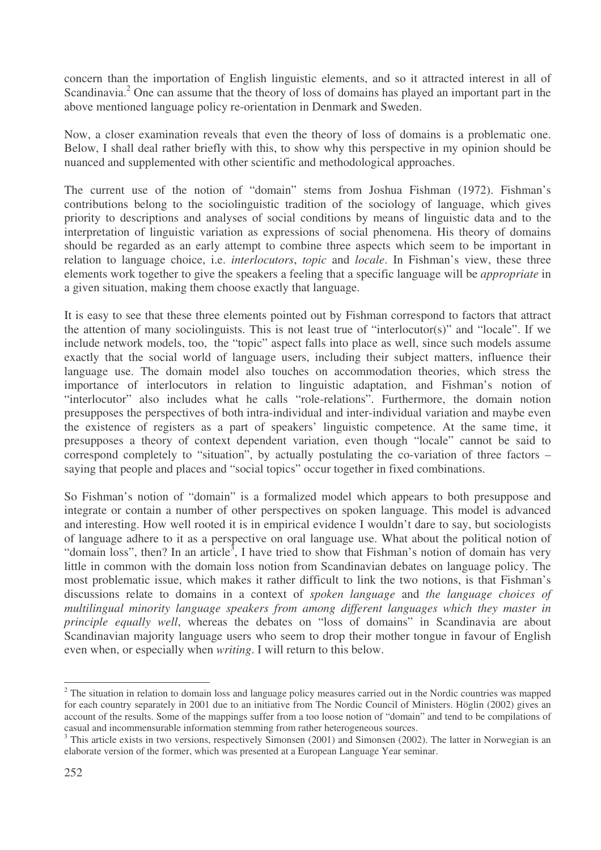concern than the importation of English linguistic elements, and so it attracted interest in all of Scandinavia.<sup>2</sup> One can assume that the theory of loss of domains has played an important part in the above mentioned language policy re-orientation in Denmark and Sweden.

Now, a closer examination reveals that even the theory of loss of domains is a problematic one. Below, I shall deal rather briefly with this, to show why this perspective in my opinion should be nuanced and supplemented with other scientific and methodological approaches.

The current use of the notion of "domain" stems from Joshua Fishman (1972). Fishman's contributions belong to the sociolinguistic tradition of the sociology of language, which gives priority to descriptions and analyses of social conditions by means of linguistic data and to the interpretation of linguistic variation as expressions of social phenomena. His theory of domains should be regarded as an early attempt to combine three aspects which seem to be important in relation to language choice, i.e. *interlocutors*, *topic* and *locale*. In Fishman's view, these three elements work together to give the speakers a feeling that a specific language will be *appropriate* in a given situation, making them choose exactly that language.

It is easy to see that these three elements pointed out by Fishman correspond to factors that attract the attention of many sociolinguists. This is not least true of "interlocutor(s)" and "locale". If we include network models, too, the "topic" aspect falls into place as well, since such models assume exactly that the social world of language users, including their subject matters, influence their language use. The domain model also touches on accommodation theories, which stress the importance of interlocutors in relation to linguistic adaptation, and Fishman's notion of "interlocutor" also includes what he calls "role-relations". Furthermore, the domain notion presupposes the perspectives of both intra-individual and inter-individual variation and maybe even the existence of registers as a part of speakers' linguistic competence. At the same time, it presupposes a theory of context dependent variation, even though "locale" cannot be said to correspond completely to "situation", by actually postulating the co-variation of three factors – saying that people and places and "social topics" occur together in fixed combinations.

So Fishman's notion of "domain" is a formalized model which appears to both presuppose and integrate or contain a number of other perspectives on spoken language. This model is advanced and interesting. How well rooted it is in empirical evidence I wouldn't dare to say, but sociologists of language adhere to it as a perspective on oral language use. What about the political notion of "domain loss", then? In an article<sup>3</sup>, I have tried to show that Fishman's notion of domain has very little in common with the domain loss notion from Scandinavian debates on language policy. The most problematic issue, which makes it rather difficult to link the two notions, is that Fishman's discussions relate to domains in a context of *spoken language* and *the language choices of multilingual minority language speakers from among different languages which they master in principle equally well*, whereas the debates on "loss of domains" in Scandinavia are about Scandinavian majority language users who seem to drop their mother tongue in favour of English even when, or especially when *writing*. I will return to this below.

<sup>&</sup>lt;sup>2</sup> The situation in relation to domain loss and language policy measures carried out in the Nordic countries was mapped for each country separately in 2001 due to an initiative from The Nordic Council of Ministers. Höglin (2002) gives an account of the results. Some of the mappings suffer from a too loose notion of "domain" and tend to be compilations of casual and incommensurable information stemming from rather heterogeneous sources.

 $3$  This article exists in two versions, respectively Simonsen (2001) and Simonsen (2002). The latter in Norwegian is an elaborate version of the former, which was presented at a European Language Year seminar.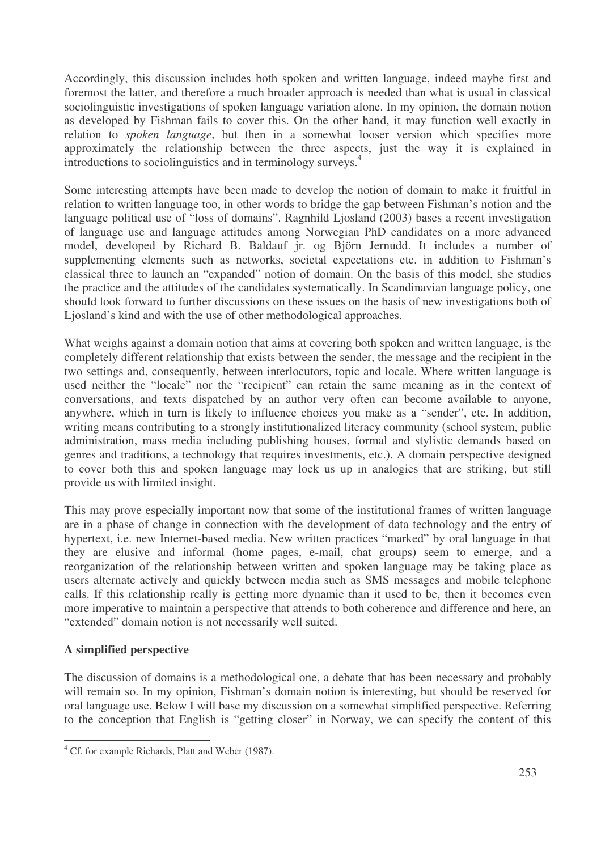Accordingly, this discussion includes both spoken and written language, indeed maybe first and foremost the latter, and therefore a much broader approach is needed than what is usual in classical sociolinguistic investigations of spoken language variation alone. In my opinion, the domain notion as developed by Fishman fails to cover this. On the other hand, it may function well exactly in relation to *spoken language*, but then in a somewhat looser version which specifies more approximately the relationship between the three aspects, just the way it is explained in introductions to sociolinguistics and in terminology surveys. 4

Some interesting attempts have been made to develop the notion of domain to make it fruitful in relation to written language too, in other words to bridge the gap between Fishman's notion and the language political use of "loss of domains". Ragnhild Ljosland (2003) bases a recent investigation of language use and language attitudes among Norwegian PhD candidates on a more advanced model, developed by Richard B. Baldauf jr. og Björn Jernudd. It includes a number of supplementing elements such as networks, societal expectations etc. in addition to Fishman's classical three to launch an "expanded" notion of domain. On the basis of this model, she studies the practice and the attitudes of the candidates systematically. In Scandinavian language policy, one should look forward to further discussions on these issues on the basis of new investigations both of Ljosland's kind and with the use of other methodological approaches.

What weighs against a domain notion that aims at covering both spoken and written language, is the completely different relationship that exists between the sender, the message and the recipient in the two settings and, consequently, between interlocutors, topic and locale. Where written language is used neither the "locale" nor the "recipient" can retain the same meaning as in the context of conversations, and texts dispatched by an author very often can become available to anyone, anywhere, which in turn is likely to influence choices you make as a "sender", etc. In addition, writing means contributing to a strongly institutionalized literacy community (school system, public administration, mass media including publishing houses, formal and stylistic demands based on genres and traditions, a technology that requires investments, etc.). A domain perspective designed to cover both this and spoken language may lock us up in analogies that are striking, but still provide us with limited insight.

This may prove especially important now that some of the institutional frames of written language are in a phase of change in connection with the development of data technology and the entry of hypertext, i.e. new Internet-based media. New written practices "marked" by oral language in that they are elusive and informal (home pages, e-mail, chat groups) seem to emerge, and a reorganization of the relationship between written and spoken language may be taking place as users alternate actively and quickly between media such as SMS messages and mobile telephone calls. If this relationship really is getting more dynamic than it used to be, then it becomes even more imperative to maintain a perspective that attends to both coherence and difference and here, an "extended" domain notion is not necessarily well suited.

# **A simplified perspective**

The discussion of domains is a methodological one, a debate that has been necessary and probably will remain so. In my opinion, Fishman's domain notion is interesting, but should be reserved for oral language use. Below I will base my discussion on a somewhat simplified perspective. Referring to the conception that English is "getting closer" in Norway, we can specify the content of this

<sup>4</sup> Cf. for example Richards, Platt and Weber (1987).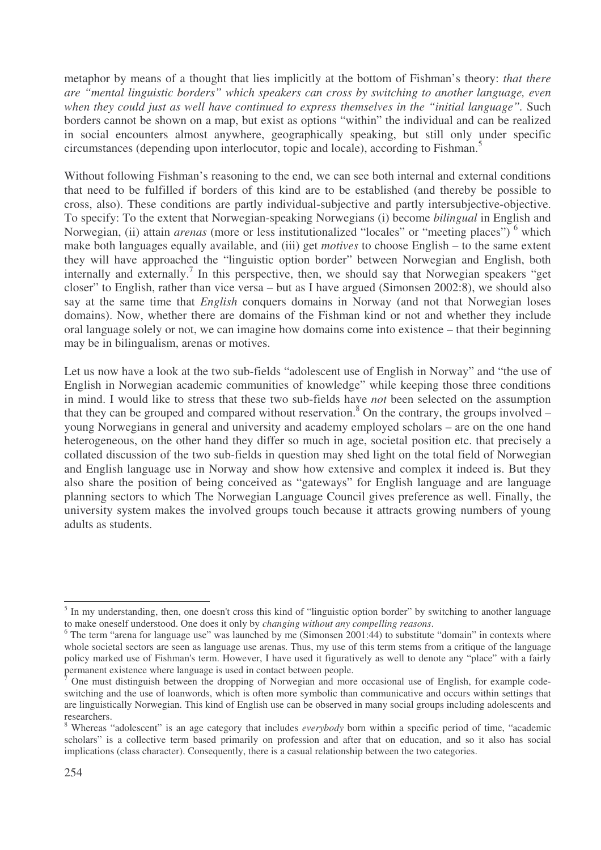metaphor by means of a thought that lies implicitly at the bottom of Fishman's theory: *that there are "mental linguistic borders" which speakers can cross by switching to another language, even when they could just as well have continued to express themselves in the "initial language".* Such borders cannot be shown on a map, but exist as options "within" the individual and can be realized in social encounters almost anywhere, geographically speaking, but still only under specific circumstances (depending upon interlocutor, topic and locale), according to Fishman. 5

Without following Fishman's reasoning to the end, we can see both internal and external conditions that need to be fulfilled if borders of this kind are to be established (and thereby be possible to cross, also). These conditions are partly individual-subjective and partly intersubjective-objective. To specify: To the extent that Norwegian-speaking Norwegians (i) become *bilingual* in English and Norwegian, (ii) attain *arenas* (more or less institutionalized "locales" or "meeting places")<sup>6</sup> which make both languages equally available, and (iii) get *motives* to choose English – to the same extent they will have approached the "linguistic option border" between Norwegian and English, both internally and externally. 7 In this perspective, then, we should say that Norwegian speakers "get closer" to English, rather than vice versa – but as I have argued (Simonsen 2002:8), we should also say at the same time that *English* conquers domains in Norway (and not that Norwegian loses domains). Now, whether there are domains of the Fishman kind or not and whether they include oral language solely or not, we can imagine how domains come into existence – that their beginning may be in bilingualism, arenas or motives.

Let us now have a look at the two sub-fields "adolescent use of English in Norway" and "the use of English in Norwegian academic communities of knowledge" while keeping those three conditions in mind. I would like to stress that these two sub-fields have *not* been selected on the assumption that they can be grouped and compared without reservation.<sup>8</sup> On the contrary, the groups involved – young Norwegians in general and university and academy employed scholars – are on the one hand heterogeneous, on the other hand they differ so much in age, societal position etc. that precisely a collated discussion of the two sub-fields in question may shed light on the total field of Norwegian and English language use in Norway and show how extensive and complex it indeed is. But they also share the position of being conceived as "gateways" for English language and are language planning sectors to which The Norwegian Language Council gives preference as well. Finally, the university system makes the involved groups touch because it attracts growing numbers of young adults as students.

<sup>&</sup>lt;sup>5</sup> In my understanding, then, one doesn't cross this kind of "linguistic option border" by switching to another language to make oneself understood. One does it only by *changing without any compelling reasons*.

 $6$  The term "arena for language use" was launched by me (Simonsen 2001:44) to substitute "domain" in contexts where whole societal sectors are seen as language use arenas. Thus, my use of this term stems from a critique of the language policy marked use of Fishman's term. However, I have used it figuratively as well to denote any "place" with a fairly permanent existence where language is used in contact between people.

<sup>7</sup> One must distinguish between the dropping of Norwegian and more occasional use of English, for example codeswitching and the use of loanwords, which is often more symbolic than communicative and occurs within settings that are linguistically Norwegian. This kind of English use can be observed in many social groups including adolescents and researchers.

<sup>8</sup> Whereas "adolescent" is an age category that includes *everybody* born within a specific period of time, "academic scholars" is a collective term based primarily on profession and after that on education, and so it also has social implications (class character). Consequently, there is a casual relationship between the two categories.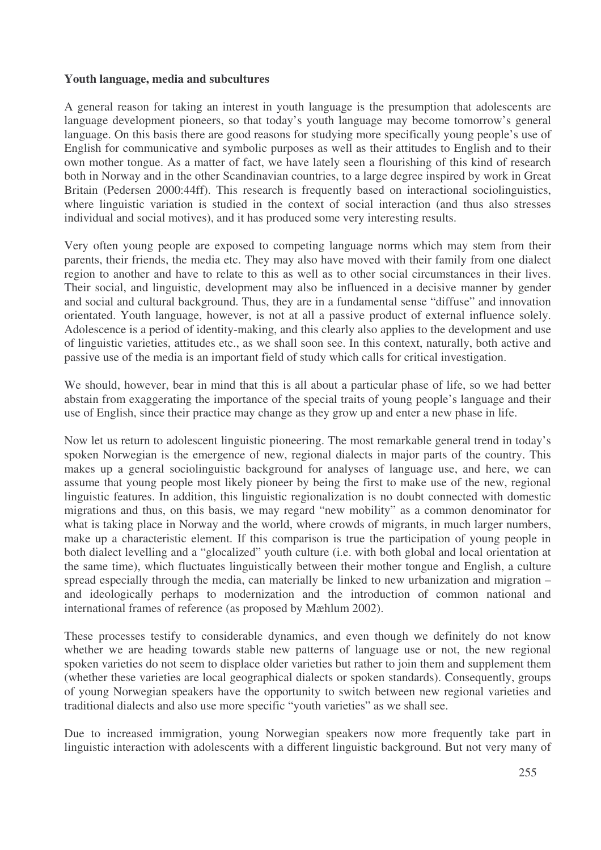# **Youth language, media and subcultures**

A general reason for taking an interest in youth language is the presumption that adolescents are language development pioneers, so that today's youth language may become tomorrow's general language. On this basis there are good reasons for studying more specifically young people's use of English for communicative and symbolic purposes as well as their attitudes to English and to their own mother tongue. As a matter of fact, we have lately seen a flourishing of this kind of research both in Norway and in the other Scandinavian countries, to a large degree inspired by work in Great Britain (Pedersen 2000:44ff). This research is frequently based on interactional sociolinguistics, where linguistic variation is studied in the context of social interaction (and thus also stresses individual and social motives), and it has produced some very interesting results.

Very often young people are exposed to competing language norms which may stem from their parents, their friends, the media etc. They may also have moved with their family from one dialect region to another and have to relate to this as well as to other social circumstances in their lives. Their social, and linguistic, development may also be influenced in a decisive manner by gender and social and cultural background. Thus, they are in a fundamental sense "diffuse" and innovation orientated. Youth language, however, is not at all a passive product of external influence solely. Adolescence is a period of identity-making, and this clearly also applies to the development and use of linguistic varieties, attitudes etc., as we shall soon see. In this context, naturally, both active and passive use of the media is an important field of study which calls for critical investigation.

We should, however, bear in mind that this is all about a particular phase of life, so we had better abstain from exaggerating the importance of the special traits of young people's language and their use of English, since their practice may change as they grow up and enter a new phase in life.

Now let us return to adolescent linguistic pioneering. The most remarkable general trend in today's spoken Norwegian is the emergence of new, regional dialects in major parts of the country. This makes up a general sociolinguistic background for analyses of language use, and here, we can assume that young people most likely pioneer by being the first to make use of the new, regional linguistic features. In addition, this linguistic regionalization is no doubt connected with domestic migrations and thus, on this basis, we may regard "new mobility" as a common denominator for what is taking place in Norway and the world, where crowds of migrants, in much larger numbers, make up a characteristic element. If this comparison is true the participation of young people in both dialect levelling and a "glocalized" youth culture (i.e. with both global and local orientation at the same time), which fluctuates linguistically between their mother tongue and English, a culture spread especially through the media, can materially be linked to new urbanization and migration – and ideologically perhaps to modernization and the introduction of common national and international frames of reference (as proposed by Mæhlum 2002).

These processes testify to considerable dynamics, and even though we definitely do not know whether we are heading towards stable new patterns of language use or not, the new regional spoken varieties do not seem to displace older varieties but rather to join them and supplement them (whether these varieties are local geographical dialects or spoken standards). Consequently, groups of young Norwegian speakers have the opportunity to switch between new regional varieties and traditional dialects and also use more specific "youth varieties" as we shall see.

Due to increased immigration, young Norwegian speakers now more frequently take part in linguistic interaction with adolescents with a different linguistic background. But not very many of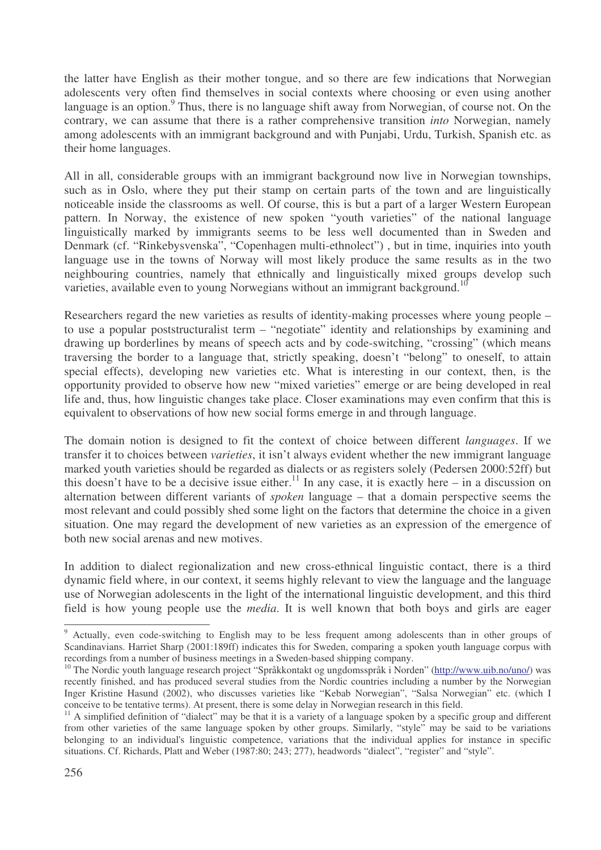the latter have English as their mother tongue, and so there are few indications that Norwegian adolescents very often find themselves in social contexts where choosing or even using another language is an option.<sup>9</sup> Thus, there is no language shift away from Norwegian, of course not. On the contrary, we can assume that there is a rather comprehensive transition *into* Norwegian, namely among adolescents with an immigrant background and with Punjabi, Urdu, Turkish, Spanish etc. as their home languages.

All in all, considerable groups with an immigrant background now live in Norwegian townships, such as in Oslo, where they put their stamp on certain parts of the town and are linguistically noticeable inside the classrooms as well. Of course, this is but a part of a larger Western European pattern. In Norway, the existence of new spoken "youth varieties" of the national language linguistically marked by immigrants seems to be less well documented than in Sweden and Denmark (cf. "Rinkebysvenska", "Copenhagen multi-ethnolect") , but in time, inquiries into youth language use in the towns of Norway will most likely produce the same results as in the two neighbouring countries, namely that ethnically and linguistically mixed groups develop such varieties, available even to young Norwegians without an immigrant background.<sup>10</sup>

Researchers regard the new varieties as results of identity-making processes where young people – to use a popular poststructuralist term – "negotiate" identity and relationships by examining and drawing up borderlines by means of speech acts and by code-switching, "crossing" (which means traversing the border to a language that, strictly speaking, doesn't "belong" to oneself, to attain special effects), developing new varieties etc. What is interesting in our context, then, is the opportunity provided to observe how new "mixed varieties" emerge or are being developed in real life and, thus, how linguistic changes take place. Closer examinations may even confirm that this is equivalent to observations of how new social forms emerge in and through language.

The domain notion is designed to fit the context of choice between different *languages*. If we transfer it to choices between *varieties*, it isn't always evident whether the new immigrant language marked youth varieties should be regarded as dialects or as registers solely (Pedersen 2000:52ff) but this doesn't have to be a decisive issue either.<sup>11</sup> In any case, it is exactly here – in a discussion on alternation between different variants of *spoken* language – that a domain perspective seems the most relevant and could possibly shed some light on the factors that determine the choice in a given situation. One may regard the development of new varieties as an expression of the emergence of both new social arenas and new motives.

In addition to dialect regionalization and new cross-ethnical linguistic contact, there is a third dynamic field where, in our context, it seems highly relevant to view the language and the language use of Norwegian adolescents in the light of the international linguistic development, and this third field is how young people use the *media*. It is well known that both boys and girls are eager

<sup>&</sup>lt;sup>9</sup> Actually, even code-switching to English may to be less frequent among adolescents than in other groups of Scandinavians. Harriet Sharp (2001:189ff) indicates this for Sweden, comparing a spoken youth language corpus with recordings from a number of business meetings in a Sweden-based shipping company.

<sup>&</sup>lt;sup>10</sup> The Nordic youth language research project "Språkkontakt og ungdomsspråk i Norden" (http://www.uib.no/uno/) was recently finished, and has produced several studies from the Nordic countries including a number by the Norwegian Inger Kristine Hasund (2002), who discusses varieties like "Kebab Norwegian", "Salsa Norwegian" etc. (which I conceive to be tentative terms). At present, there is some delay in Norwegian research in this field.

 $11$  A simplified definition of "dialect" may be that it is a variety of a language spoken by a specific group and different from other varieties of the same language spoken by other groups. Similarly, "style" may be said to be variations belonging to an individual's linguistic competence, variations that the individual applies for instance in specific situations. Cf. Richards, Platt and Weber (1987:80; 243; 277), headwords "dialect", "register" and "style".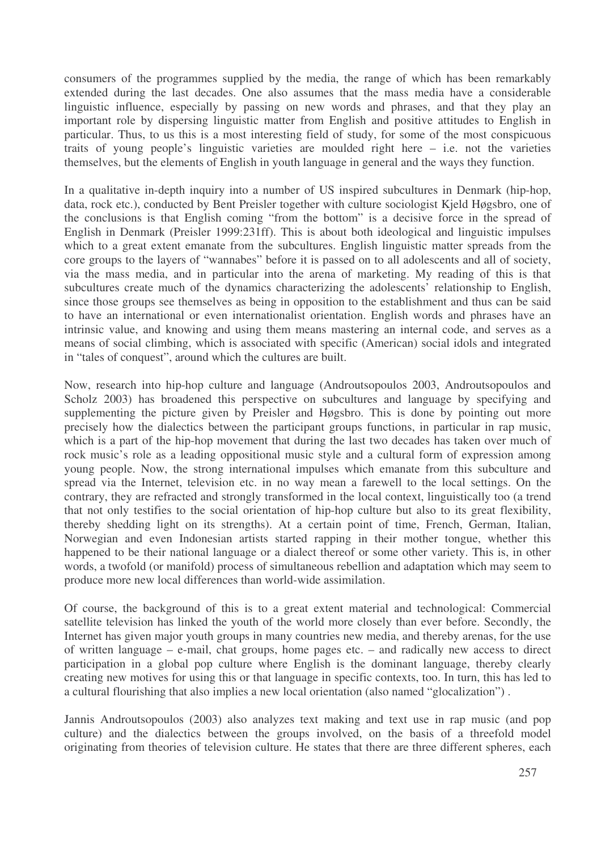consumers of the programmes supplied by the media, the range of which has been remarkably extended during the last decades. One also assumes that the mass media have a considerable linguistic influence, especially by passing on new words and phrases, and that they play an important role by dispersing linguistic matter from English and positive attitudes to English in particular. Thus, to us this is a most interesting field of study, for some of the most conspicuous traits of young people's linguistic varieties are moulded right here – i.e. not the varieties themselves, but the elements of English in youth language in general and the ways they function.

In a qualitative in-depth inquiry into a number of US inspired subcultures in Denmark (hip-hop, data, rock etc.), conducted by Bent Preisler together with culture sociologist Kjeld Høgsbro, one of the conclusions is that English coming "from the bottom" is a decisive force in the spread of English in Denmark (Preisler 1999:231ff). This is about both ideological and linguistic impulses which to a great extent emanate from the subcultures. English linguistic matter spreads from the core groups to the layers of "wannabes" before it is passed on to all adolescents and all of society, via the mass media, and in particular into the arena of marketing. My reading of this is that subcultures create much of the dynamics characterizing the adolescents' relationship to English, since those groups see themselves as being in opposition to the establishment and thus can be said to have an international or even internationalist orientation. English words and phrases have an intrinsic value, and knowing and using them means mastering an internal code, and serves as a means of social climbing, which is associated with specific (American) social idols and integrated in "tales of conquest", around which the cultures are built.

Now, research into hip-hop culture and language (Androutsopoulos 2003, Androutsopoulos and Scholz 2003) has broadened this perspective on subcultures and language by specifying and supplementing the picture given by Preisler and Høgsbro. This is done by pointing out more precisely how the dialectics between the participant groups functions, in particular in rap music, which is a part of the hip-hop movement that during the last two decades has taken over much of rock music's role as a leading oppositional music style and a cultural form of expression among young people. Now, the strong international impulses which emanate from this subculture and spread via the Internet, television etc. in no way mean a farewell to the local settings. On the contrary, they are refracted and strongly transformed in the local context, linguistically too (a trend that not only testifies to the social orientation of hip-hop culture but also to its great flexibility, thereby shedding light on its strengths). At a certain point of time, French, German, Italian, Norwegian and even Indonesian artists started rapping in their mother tongue, whether this happened to be their national language or a dialect thereof or some other variety. This is, in other words, a twofold (or manifold) process of simultaneous rebellion and adaptation which may seem to produce more new local differences than world-wide assimilation.

Of course, the background of this is to a great extent material and technological: Commercial satellite television has linked the youth of the world more closely than ever before. Secondly, the Internet has given major youth groups in many countries new media, and thereby arenas, for the use of written language – e-mail, chat groups, home pages etc. – and radically new access to direct participation in a global pop culture where English is the dominant language, thereby clearly creating new motives for using this or that language in specific contexts, too. In turn, this has led to a cultural flourishing that also implies a new local orientation (also named "glocalization") .

Jannis Androutsopoulos (2003) also analyzes text making and text use in rap music (and pop culture) and the dialectics between the groups involved, on the basis of a threefold model originating from theories of television culture. He states that there are three different spheres, each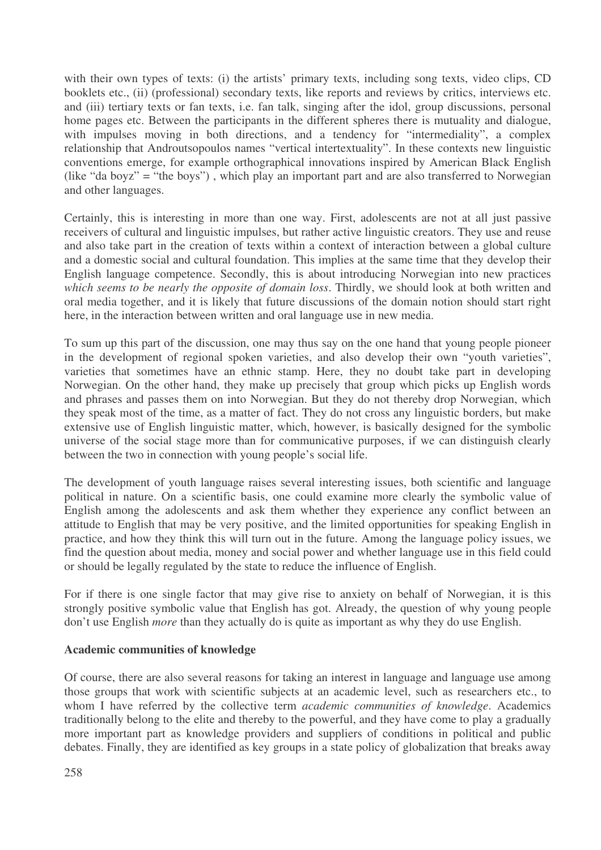with their own types of texts: (i) the artists' primary texts, including song texts, video clips, CD booklets etc., (ii) (professional) secondary texts, like reports and reviews by critics, interviews etc. and (iii) tertiary texts or fan texts, i.e. fan talk, singing after the idol, group discussions, personal home pages etc. Between the participants in the different spheres there is mutuality and dialogue, with impulses moving in both directions, and a tendency for "intermediality", a complex relationship that Androutsopoulos names "vertical intertextuality". In these contexts new linguistic conventions emerge, for example orthographical innovations inspired by American Black English (like "da boyz" = "the boys") , which play an important part and are also transferred to Norwegian and other languages.

Certainly, this is interesting in more than one way. First, adolescents are not at all just passive receivers of cultural and linguistic impulses, but rather active linguistic creators. They use and reuse and also take part in the creation of texts within a context of interaction between a global culture and a domestic social and cultural foundation. This implies at the same time that they develop their English language competence. Secondly, this is about introducing Norwegian into new practices *which seems to be nearly the opposite of domain loss*. Thirdly, we should look at both written and oral media together, and it is likely that future discussions of the domain notion should start right here, in the interaction between written and oral language use in new media.

To sum up this part of the discussion, one may thus say on the one hand that young people pioneer in the development of regional spoken varieties, and also develop their own "youth varieties", varieties that sometimes have an ethnic stamp. Here, they no doubt take part in developing Norwegian. On the other hand, they make up precisely that group which picks up English words and phrases and passes them on into Norwegian. But they do not thereby drop Norwegian, which they speak most of the time, as a matter of fact. They do not cross any linguistic borders, but make extensive use of English linguistic matter, which, however, is basically designed for the symbolic universe of the social stage more than for communicative purposes, if we can distinguish clearly between the two in connection with young people's social life.

The development of youth language raises several interesting issues, both scientific and language political in nature. On a scientific basis, one could examine more clearly the symbolic value of English among the adolescents and ask them whether they experience any conflict between an attitude to English that may be very positive, and the limited opportunities for speaking English in practice, and how they think this will turn out in the future. Among the language policy issues, we find the question about media, money and social power and whether language use in this field could or should be legally regulated by the state to reduce the influence of English.

For if there is one single factor that may give rise to anxiety on behalf of Norwegian, it is this strongly positive symbolic value that English has got. Already, the question of why young people don't use English *more* than they actually do is quite as important as why they do use English.

## **Academic communities of knowledge**

Of course, there are also several reasons for taking an interest in language and language use among those groups that work with scientific subjects at an academic level, such as researchers etc., to whom I have referred by the collective term *academic communities of knowledge*. Academics traditionally belong to the elite and thereby to the powerful, and they have come to play a gradually more important part as knowledge providers and suppliers of conditions in political and public debates. Finally, they are identified as key groups in a state policy of globalization that breaks away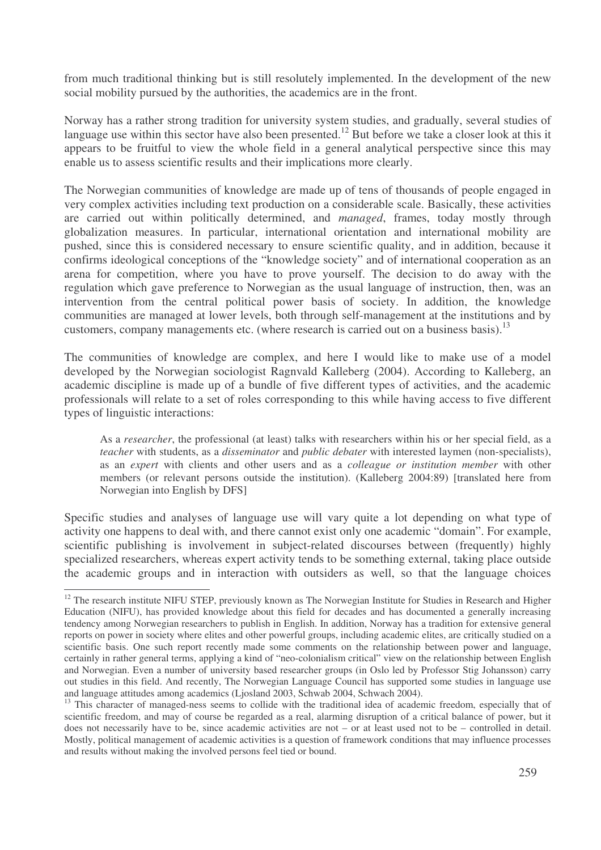from much traditional thinking but is still resolutely implemented. In the development of the new social mobility pursued by the authorities, the academics are in the front.

Norway has a rather strong tradition for university system studies, and gradually, several studies of language use within this sector have also been presented.<sup>12</sup> But before we take a closer look at this it appears to be fruitful to view the whole field in a general analytical perspective since this may enable us to assess scientific results and their implications more clearly.

The Norwegian communities of knowledge are made up of tens of thousands of people engaged in very complex activities including text production on a considerable scale. Basically, these activities are carried out within politically determined, and *managed*, frames, today mostly through globalization measures. In particular, international orientation and international mobility are pushed, since this is considered necessary to ensure scientific quality, and in addition, because it confirms ideological conceptions of the "knowledge society" and of international cooperation as an arena for competition, where you have to prove yourself. The decision to do away with the regulation which gave preference to Norwegian as the usual language of instruction, then, was an intervention from the central political power basis of society. In addition, the knowledge communities are managed at lower levels, both through self-management at the institutions and by customers, company managements etc. (where research is carried out on a business basis).<sup>13</sup>

The communities of knowledge are complex, and here I would like to make use of a model developed by the Norwegian sociologist Ragnvald Kalleberg (2004). According to Kalleberg, an academic discipline is made up of a bundle of five different types of activities, and the academic professionals will relate to a set of roles corresponding to this while having access to five different types of linguistic interactions:

As a *researcher*, the professional (at least) talks with researchers within his or her special field, as a *teacher* with students, as a *disseminator* and *public debater* with interested laymen (non-specialists), as an *expert* with clients and other users and as a *colleague or institution member* with other members (or relevant persons outside the institution). (Kalleberg 2004:89) [translated here from Norwegian into English by DFS]

Specific studies and analyses of language use will vary quite a lot depending on what type of activity one happens to deal with, and there cannot exist only one academic "domain". For example, scientific publishing is involvement in subject-related discourses between (frequently) highly specialized researchers, whereas expert activity tends to be something external, taking place outside the academic groups and in interaction with outsiders as well, so that the language choices

<sup>&</sup>lt;sup>12</sup> The research institute NIFU STEP, previously known as The Norwegian Institute for Studies in Research and Higher Education (NIFU), has provided knowledge about this field for decades and has documented a generally increasing tendency among Norwegian researchers to publish in English. In addition, Norway has a tradition for extensive general reports on power in society where elites and other powerful groups, including academic elites, are critically studied on a scientific basis. One such report recently made some comments on the relationship between power and language, certainly in rather general terms, applying a kind of "neo-colonialism critical" view on the relationship between English and Norwegian. Even a number of university based researcher groups (in Oslo led by Professor Stig Johansson) carry out studies in this field. And recently, The Norwegian Language Council has supported some studies in language use and language attitudes among academics (Ljosland 2003, Schwab 2004, Schwach 2004).

<sup>&</sup>lt;sup>13</sup> This character of managed-ness seems to collide with the traditional idea of academic freedom, especially that of scientific freedom, and may of course be regarded as a real, alarming disruption of a critical balance of power, but it does not necessarily have to be, since academic activities are not – or at least used not to be – controlled in detail. Mostly, political management of academic activities is a question of framework conditions that may influence processes and results without making the involved persons feel tied or bound.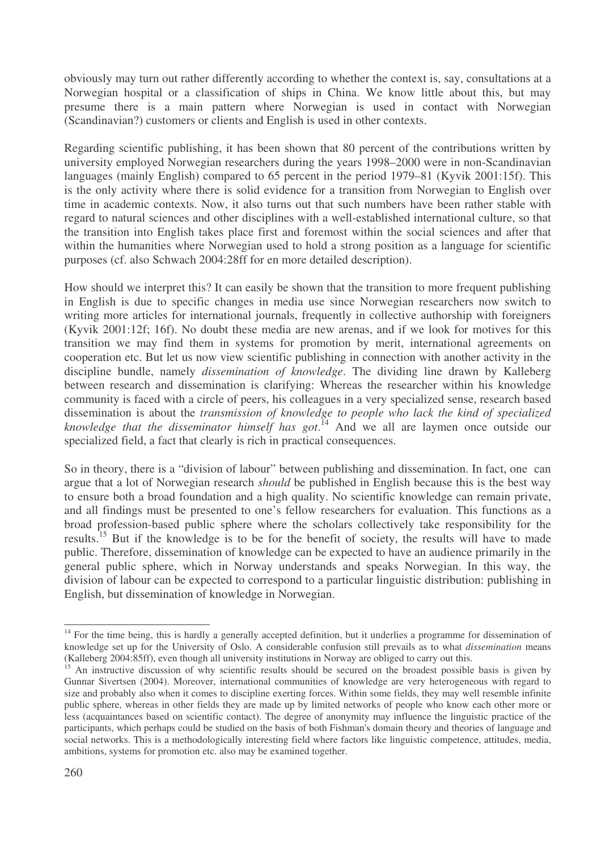obviously may turn out rather differently according to whether the context is, say, consultations at a Norwegian hospital or a classification of ships in China. We know little about this, but may presume there is a main pattern where Norwegian is used in contact with Norwegian (Scandinavian?) customers or clients and English is used in other contexts.

Regarding scientific publishing, it has been shown that 80 percent of the contributions written by university employed Norwegian researchers during the years 1998–2000 were in non-Scandinavian languages (mainly English) compared to 65 percent in the period 1979–81 (Kyvik 2001:15f). This is the only activity where there is solid evidence for a transition from Norwegian to English over time in academic contexts. Now, it also turns out that such numbers have been rather stable with regard to natural sciences and other disciplines with a well-established international culture, so that the transition into English takes place first and foremost within the social sciences and after that within the humanities where Norwegian used to hold a strong position as a language for scientific purposes (cf. also Schwach 2004:28ff for en more detailed description).

How should we interpret this? It can easily be shown that the transition to more frequent publishing in English is due to specific changes in media use since Norwegian researchers now switch to writing more articles for international journals, frequently in collective authorship with foreigners (Kyvik 2001:12f; 16f). No doubt these media are new arenas, and if we look for motives for this transition we may find them in systems for promotion by merit, international agreements on cooperation etc. But let us now view scientific publishing in connection with another activity in the discipline bundle, namely *dissemination of knowledge*. The dividing line drawn by Kalleberg between research and dissemination is clarifying: Whereas the researcher within his knowledge community is faced with a circle of peers, his colleagues in a very specialized sense, research based dissemination is about the *transmission of knowledge to people who lack the kind of specialized knowledge that the disseminator himself has got*. <sup>14</sup> And we all are laymen once outside our specialized field, a fact that clearly is rich in practical consequences.

So in theory, there is a "division of labour" between publishing and dissemination. In fact, one can argue that a lot of Norwegian research *should* be published in English because this is the best way to ensure both a broad foundation and a high quality. No scientific knowledge can remain private, and all findings must be presented to one's fellow researchers for evaluation. This functions as a broad profession-based public sphere where the scholars collectively take responsibility for the results.<sup>15</sup> But if the knowledge is to be for the benefit of society, the results will have to made public. Therefore, dissemination of knowledge can be expected to have an audience primarily in the general public sphere, which in Norway understands and speaks Norwegian. In this way, the division of labour can be expected to correspond to a particular linguistic distribution: publishing in English, but dissemination of knowledge in Norwegian.

<sup>&</sup>lt;sup>14</sup> For the time being, this is hardly a generally accepted definition, but it underlies a programme for dissemination of knowledge set up for the University of Oslo. A considerable confusion still prevails as to what *dissemination* means (Kalleberg 2004:85ff), even though all university institutions in Norway are obliged to carry out this.

<sup>&</sup>lt;sup>15</sup> An instructive discussion of why scientific results should be secured on the broadest possible basis is given by Gunnar Sivertsen (2004). Moreover, international communities of knowledge are very heterogeneous with regard to size and probably also when it comes to discipline exerting forces. Within some fields, they may well resemble infinite public sphere, whereas in other fields they are made up by limited networks of people who know each other more or less (acquaintances based on scientific contact). The degree of anonymity may influence the linguistic practice of the participants, which perhaps could be studied on the basis of both Fishman's domain theory and theories of language and social networks. This is a methodologically interesting field where factors like linguistic competence, attitudes, media, ambitions, systems for promotion etc. also may be examined together.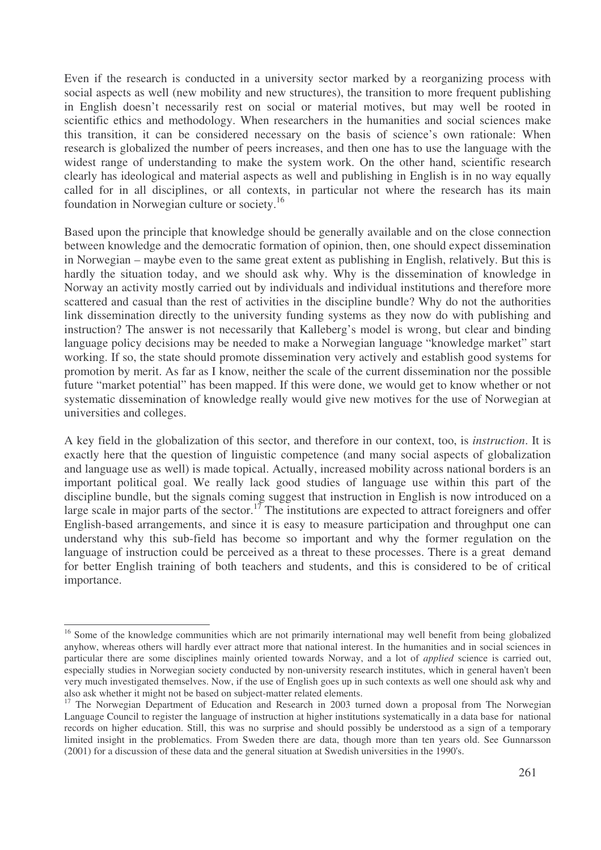Even if the research is conducted in a university sector marked by a reorganizing process with social aspects as well (new mobility and new structures), the transition to more frequent publishing in English doesn't necessarily rest on social or material motives, but may well be rooted in scientific ethics and methodology. When researchers in the humanities and social sciences make this transition, it can be considered necessary on the basis of science's own rationale: When research is globalized the number of peers increases, and then one has to use the language with the widest range of understanding to make the system work. On the other hand, scientific research clearly has ideological and material aspects as well and publishing in English is in no way equally called for in all disciplines, or all contexts, in particular not where the research has its main foundation in Norwegian culture or society.<sup>16</sup>

Based upon the principle that knowledge should be generally available and on the close connection between knowledge and the democratic formation of opinion, then, one should expect dissemination in Norwegian – maybe even to the same great extent as publishing in English, relatively. But this is hardly the situation today, and we should ask why. Why is the dissemination of knowledge in Norway an activity mostly carried out by individuals and individual institutions and therefore more scattered and casual than the rest of activities in the discipline bundle? Why do not the authorities link dissemination directly to the university funding systems as they now do with publishing and instruction? The answer is not necessarily that Kalleberg's model is wrong, but clear and binding language policy decisions may be needed to make a Norwegian language "knowledge market" start working. If so, the state should promote dissemination very actively and establish good systems for promotion by merit. As far as I know, neither the scale of the current dissemination nor the possible future "market potential" has been mapped. If this were done, we would get to know whether or not systematic dissemination of knowledge really would give new motives for the use of Norwegian at universities and colleges.

A key field in the globalization of this sector, and therefore in our context, too, is *instruction*. It is exactly here that the question of linguistic competence (and many social aspects of globalization and language use as well) is made topical. Actually, increased mobility across national borders is an important political goal. We really lack good studies of language use within this part of the discipline bundle, but the signals coming suggest that instruction in English is now introduced on a large scale in major parts of the sector.<sup>17</sup> The institutions are expected to attract foreigners and offer English-based arrangements, and since it is easy to measure participation and throughput one can understand why this sub-field has become so important and why the former regulation on the language of instruction could be perceived as a threat to these processes. There is a great demand for better English training of both teachers and students, and this is considered to be of critical importance.

<sup>&</sup>lt;sup>16</sup> Some of the knowledge communities which are not primarily international may well benefit from being globalized anyhow, whereas others will hardly ever attract more that national interest. In the humanities and in social sciences in particular there are some disciplines mainly oriented towards Norway, and a lot of *applied* science is carried out, especially studies in Norwegian society conducted by non-university research institutes, which in general haven't been very much investigated themselves. Now, if the use of English goes up in such contexts as well one should ask why and also ask whether it might not be based on subject-matter related elements.

<sup>&</sup>lt;sup>17</sup> The Norwegian Department of Education and Research in 2003 turned down a proposal from The Norwegian Language Council to register the language of instruction at higher institutions systematically in a data base for national records on higher education. Still, this was no surprise and should possibly be understood as a sign of a temporary limited insight in the problematics. From Sweden there are data, though more than ten years old. See Gunnarsson (2001) for a discussion of these data and the general situation at Swedish universities in the 1990's.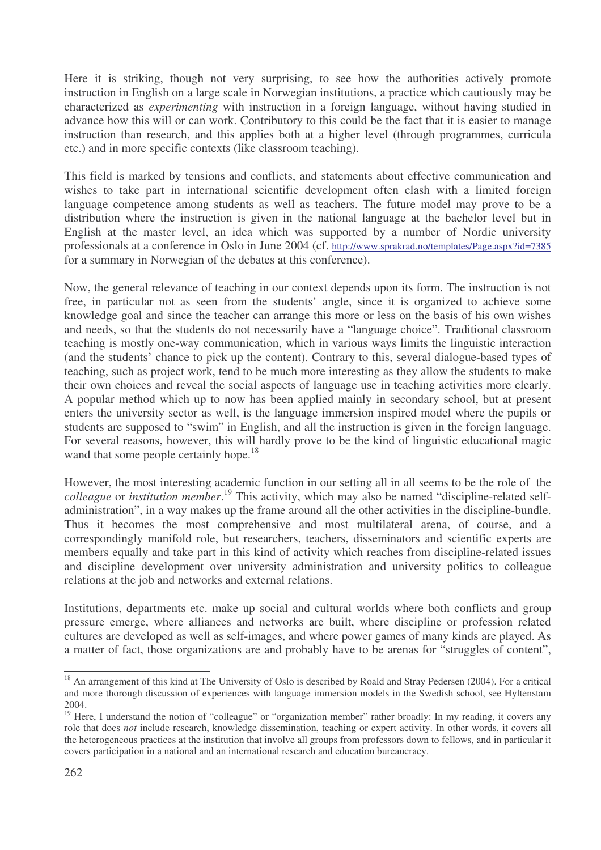Here it is striking, though not very surprising, to see how the authorities actively promote instruction in English on a large scale in Norwegian institutions, a practice which cautiously may be characterized as *experimenting* with instruction in a foreign language, without having studied in advance how this will or can work. Contributory to this could be the fact that it is easier to manage instruction than research, and this applies both at a higher level (through programmes, curricula etc.) and in more specific contexts (like classroom teaching).

This field is marked by tensions and conflicts, and statements about effective communication and wishes to take part in international scientific development often clash with a limited foreign language competence among students as well as teachers. The future model may prove to be a distribution where the instruction is given in the national language at the bachelor level but in English at the master level, an idea which was supported by a number of Nordic university professionals at a conference in Oslo in June 2004 (cf. http://www.sprakrad.no/templates/Page.aspx?id=7385 for a summary in Norwegian of the debates at this conference).

Now, the general relevance of teaching in our context depends upon its form. The instruction is not free, in particular not as seen from the students' angle, since it is organized to achieve some knowledge goal and since the teacher can arrange this more or less on the basis of his own wishes and needs, so that the students do not necessarily have a "language choice". Traditional classroom teaching is mostly one-way communication, which in various ways limits the linguistic interaction (and the students' chance to pick up the content). Contrary to this, several dialogue-based types of teaching, such as project work, tend to be much more interesting as they allow the students to make their own choices and reveal the social aspects of language use in teaching activities more clearly. A popular method which up to now has been applied mainly in secondary school, but at present enters the university sector as well, is the language immersion inspired model where the pupils or students are supposed to "swim" in English, and all the instruction is given in the foreign language. For several reasons, however, this will hardly prove to be the kind of linguistic educational magic wand that some people certainly hope.<sup>18</sup>

However, the most interesting academic function in our setting all in all seems to be the role of the *colleague* or *institution member*. 19 This activity, which may also be named "discipline-related selfadministration", in a way makes up the frame around all the other activities in the discipline-bundle. Thus it becomes the most comprehensive and most multilateral arena, of course, and a correspondingly manifold role, but researchers, teachers, disseminators and scientific experts are members equally and take part in this kind of activity which reaches from discipline-related issues and discipline development over university administration and university politics to colleague relations at the job and networks and external relations.

Institutions, departments etc. make up social and cultural worlds where both conflicts and group pressure emerge, where alliances and networks are built, where discipline or profession related cultures are developed as well as self-images, and where power games of many kinds are played. As a matter of fact, those organizations are and probably have to be arenas for "struggles of content",

<sup>&</sup>lt;sup>18</sup> An arrangement of this kind at The University of Oslo is described by Roald and Stray Pedersen (2004). For a critical and more thorough discussion of experiences with language immersion models in the Swedish school, see Hyltenstam 2004.

<sup>&</sup>lt;sup>19</sup> Here, I understand the notion of "colleague" or "organization member" rather broadly: In my reading, it covers any role that does *not* include research, knowledge dissemination, teaching or expert activity. In other words, it covers all the heterogeneous practices at the institution that involve all groups from professors down to fellows, and in particular it covers participation in a national and an international research and education bureaucracy.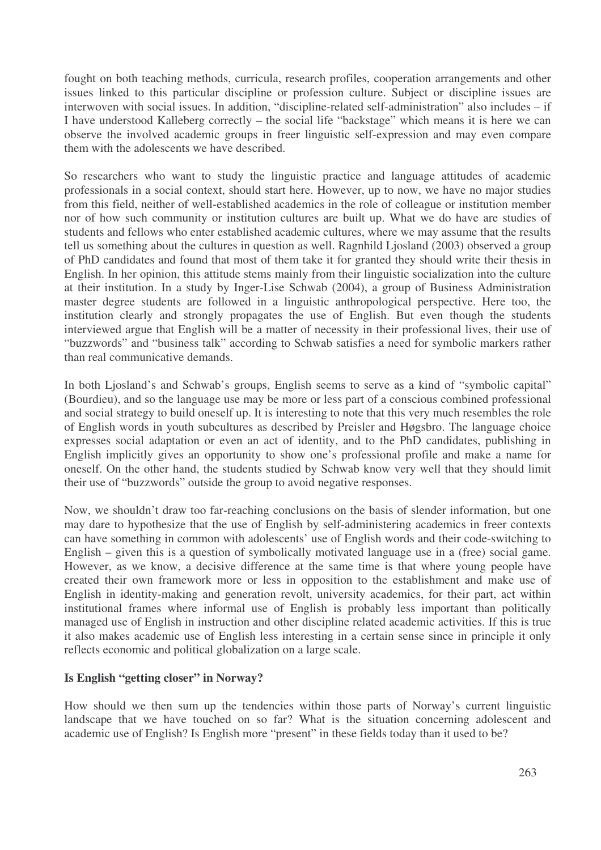fought on both teaching methods, curricula, research profiles, cooperation arrangements and other issues linked to this particular discipline or profession culture. Subject or discipline issues are interwoven with social issues. In addition, "discipline-related self-administration" also includes – if I have understood Kalleberg correctly – the social life "backstage" which means it is here we can observe the involved academic groups in freer linguistic self-expression and may even compare them with the adolescents we have described.

So researchers who want to study the linguistic practice and language attitudes of academic professionals in a social context, should start here. However, up to now, we have no major studies from this field, neither of well-established academics in the role of colleague or institution member nor of how such community or institution cultures are built up. What we do have are studies of students and fellows who enter established academic cultures, where we may assume that the results tell us something about the cultures in question as well. Ragnhild Ljosland (2003) observed a group of PhD candidates and found that most of them take it for granted they should write their thesis in English. In her opinion, this attitude stems mainly from their linguistic socialization into the culture at their institution. In a study by Inger-Lise Schwab (2004), a group of Business Administration master degree students are followed in a linguistic anthropological perspective. Here too, the institution clearly and strongly propagates the use of English. But even though the students interviewed argue that English will be a matter of necessity in their professional lives, their use of "buzzwords" and "business talk" according to Schwab satisfies a need for symbolic markers rather than real communicative demands.

In both Ljosland's and Schwab's groups, English seems to serve as a kind of "symbolic capital" (Bourdieu), and so the language use may be more or less part of a conscious combined professional and social strategy to build oneself up. It is interesting to note that this very much resembles the role of English words in youth subcultures as described by Preisler and Høgsbro. The language choice expresses social adaptation or even an act of identity, and to the PhD candidates, publishing in English implicitly gives an opportunity to show one's professional profile and make a name for oneself. On the other hand, the students studied by Schwab know very well that they should limit their use of "buzzwords" outside the group to avoid negative responses.

Now, we shouldn't draw too far-reaching conclusions on the basis of slender information, but one may dare to hypothesize that the use of English by self-administering academics in freer contexts can have something in common with adolescents' use of English words and their code-switching to English – given this is a question of symbolically motivated language use in a (free) social game. However, as we know, a decisive difference at the same time is that where young people have created their own framework more or less in opposition to the establishment and make use of English in identity-making and generation revolt, university academics, for their part, act within institutional frames where informal use of English is probably less important than politically managed use of English in instruction and other discipline related academic activities. If this is true it also makes academic use of English less interesting in a certain sense since in principle it only reflects economic and political globalization on a large scale.

## **Is English "getting closer" in Norway?**

How should we then sum up the tendencies within those parts of Norway's current linguistic landscape that we have touched on so far? What is the situation concerning adolescent and academic use of English? Is English more "present" in these fields today than it used to be?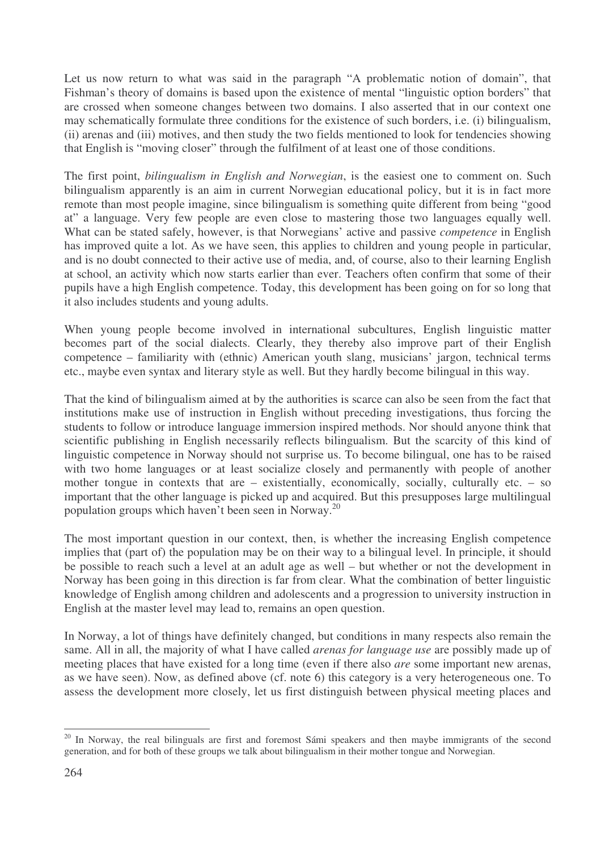Let us now return to what was said in the paragraph "A problematic notion of domain", that Fishman's theory of domains is based upon the existence of mental "linguistic option borders" that are crossed when someone changes between two domains. I also asserted that in our context one may schematically formulate three conditions for the existence of such borders, i.e. (i) bilingualism, (ii) arenas and (iii) motives, and then study the two fields mentioned to look for tendencies showing that English is "moving closer" through the fulfilment of at least one of those conditions.

The first point, *bilingualism in English and Norwegian*, is the easiest one to comment on. Such bilingualism apparently is an aim in current Norwegian educational policy, but it is in fact more remote than most people imagine, since bilingualism is something quite different from being "good at" a language. Very few people are even close to mastering those two languages equally well. What can be stated safely, however, is that Norwegians' active and passive *competence* in English has improved quite a lot. As we have seen, this applies to children and young people in particular, and is no doubt connected to their active use of media, and, of course, also to their learning English at school, an activity which now starts earlier than ever. Teachers often confirm that some of their pupils have a high English competence. Today, this development has been going on for so long that it also includes students and young adults.

When young people become involved in international subcultures, English linguistic matter becomes part of the social dialects. Clearly, they thereby also improve part of their English competence – familiarity with (ethnic) American youth slang, musicians' jargon, technical terms etc., maybe even syntax and literary style as well. But they hardly become bilingual in this way.

That the kind of bilingualism aimed at by the authorities is scarce can also be seen from the fact that institutions make use of instruction in English without preceding investigations, thus forcing the students to follow or introduce language immersion inspired methods. Nor should anyone think that scientific publishing in English necessarily reflects bilingualism. But the scarcity of this kind of linguistic competence in Norway should not surprise us. To become bilingual, one has to be raised with two home languages or at least socialize closely and permanently with people of another mother tongue in contexts that are – existentially, economically, socially, culturally etc. – so important that the other language is picked up and acquired. But this presupposes large multilingual population groups which haven't been seen in Norway. 20

The most important question in our context, then, is whether the increasing English competence implies that (part of) the population may be on their way to a bilingual level. In principle, it should be possible to reach such a level at an adult age as well – but whether or not the development in Norway has been going in this direction is far from clear. What the combination of better linguistic knowledge of English among children and adolescents and a progression to university instruction in English at the master level may lead to, remains an open question.

In Norway, a lot of things have definitely changed, but conditions in many respects also remain the same. All in all, the majority of what I have called *arenas for language use* are possibly made up of meeting places that have existed for a long time (even if there also *are* some important new arenas, as we have seen). Now, as defined above (cf. note 6) this category is a very heterogeneous one. To assess the development more closely, let us first distinguish between physical meeting places and

<sup>&</sup>lt;sup>20</sup> In Norway, the real bilinguals are first and foremost Sámi speakers and then maybe immigrants of the second generation, and for both of these groups we talk about bilingualism in their mother tongue and Norwegian.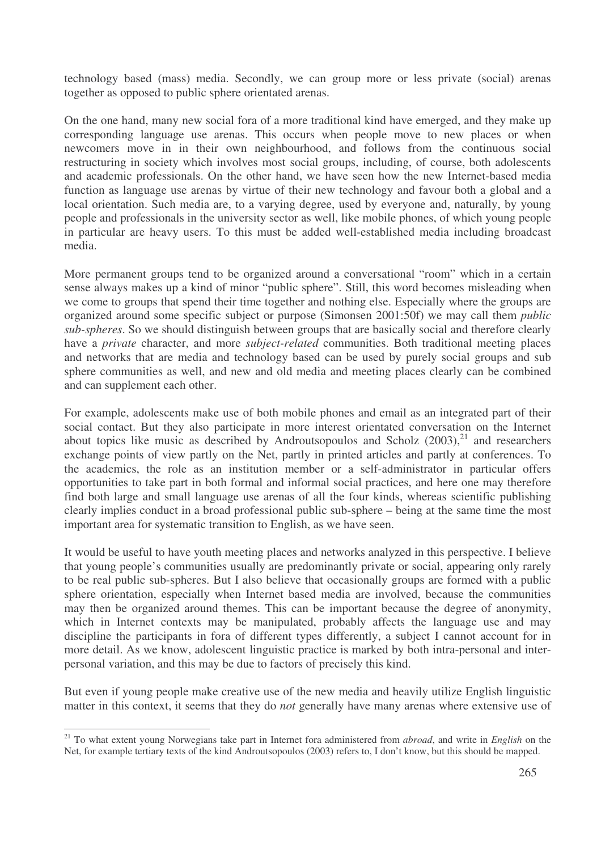technology based (mass) media. Secondly, we can group more or less private (social) arenas together as opposed to public sphere orientated arenas.

On the one hand, many new social fora of a more traditional kind have emerged, and they make up corresponding language use arenas. This occurs when people move to new places or when newcomers move in in their own neighbourhood, and follows from the continuous social restructuring in society which involves most social groups, including, of course, both adolescents and academic professionals. On the other hand, we have seen how the new Internet-based media function as language use arenas by virtue of their new technology and favour both a global and a local orientation. Such media are, to a varying degree, used by everyone and, naturally, by young people and professionals in the university sector as well, like mobile phones, of which young people in particular are heavy users. To this must be added well-established media including broadcast media.

More permanent groups tend to be organized around a conversational "room" which in a certain sense always makes up a kind of minor "public sphere". Still, this word becomes misleading when we come to groups that spend their time together and nothing else. Especially where the groups are organized around some specific subject or purpose (Simonsen 2001:50f) we may call them *public sub-spheres*. So we should distinguish between groups that are basically social and therefore clearly have a *private* character, and more *subject-related* communities. Both traditional meeting places and networks that are media and technology based can be used by purely social groups and sub sphere communities as well, and new and old media and meeting places clearly can be combined and can supplement each other.

For example, adolescents make use of both mobile phones and email as an integrated part of their social contact. But they also participate in more interest orientated conversation on the Internet about topics like music as described by Androutsopoulos and Scholz (2003),<sup>21</sup> and researchers exchange points of view partly on the Net, partly in printed articles and partly at conferences. To the academics, the role as an institution member or a self-administrator in particular offers opportunities to take part in both formal and informal social practices, and here one may therefore find both large and small language use arenas of all the four kinds, whereas scientific publishing clearly implies conduct in a broad professional public sub-sphere – being at the same time the most important area for systematic transition to English, as we have seen.

It would be useful to have youth meeting places and networks analyzed in this perspective. I believe that young people's communities usually are predominantly private or social, appearing only rarely to be real public sub-spheres. But I also believe that occasionally groups are formed with a public sphere orientation, especially when Internet based media are involved, because the communities may then be organized around themes. This can be important because the degree of anonymity, which in Internet contexts may be manipulated, probably affects the language use and may discipline the participants in fora of different types differently, a subject I cannot account for in more detail. As we know, adolescent linguistic practice is marked by both intra-personal and interpersonal variation, and this may be due to factors of precisely this kind.

But even if young people make creative use of the new media and heavily utilize English linguistic matter in this context, it seems that they do *not* generally have many arenas where extensive use of

<sup>21</sup> To what extent young Norwegians take part in Internet fora administered from *abroad*, and write in *English* on the Net, for example tertiary texts of the kind Androutsopoulos (2003) refers to, I don't know, but this should be mapped.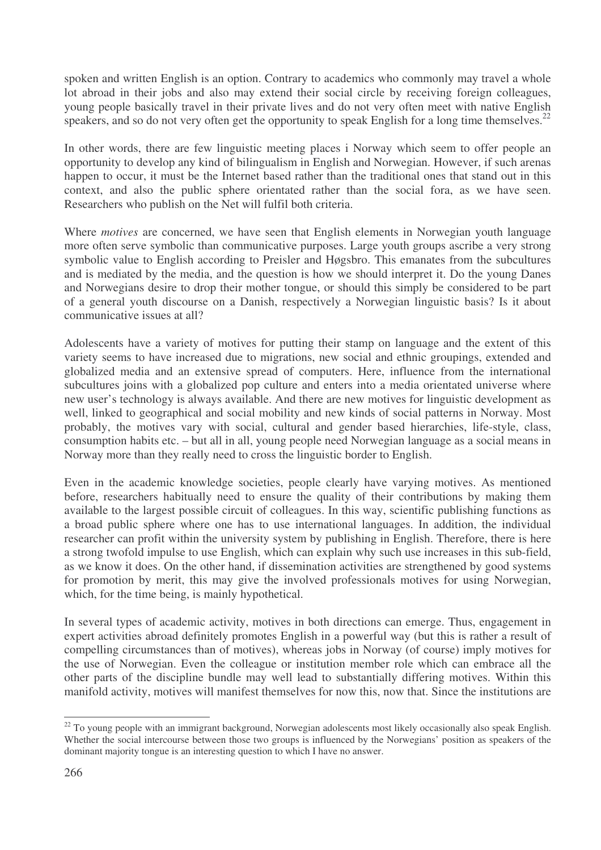spoken and written English is an option. Contrary to academics who commonly may travel a whole lot abroad in their jobs and also may extend their social circle by receiving foreign colleagues, young people basically travel in their private lives and do not very often meet with native English speakers, and so do not very often get the opportunity to speak English for a long time themselves.<sup>22</sup>

In other words, there are few linguistic meeting places i Norway which seem to offer people an opportunity to develop any kind of bilingualism in English and Norwegian. However, if such arenas happen to occur, it must be the Internet based rather than the traditional ones that stand out in this context, and also the public sphere orientated rather than the social fora, as we have seen. Researchers who publish on the Net will fulfil both criteria.

Where *motives* are concerned, we have seen that English elements in Norwegian youth language more often serve symbolic than communicative purposes. Large youth groups ascribe a very strong symbolic value to English according to Preisler and Høgsbro. This emanates from the subcultures and is mediated by the media, and the question is how we should interpret it. Do the young Danes and Norwegians desire to drop their mother tongue, or should this simply be considered to be part of a general youth discourse on a Danish, respectively a Norwegian linguistic basis? Is it about communicative issues at all?

Adolescents have a variety of motives for putting their stamp on language and the extent of this variety seems to have increased due to migrations, new social and ethnic groupings, extended and globalized media and an extensive spread of computers. Here, influence from the international subcultures joins with a globalized pop culture and enters into a media orientated universe where new user's technology is always available. And there are new motives for linguistic development as well, linked to geographical and social mobility and new kinds of social patterns in Norway. Most probably, the motives vary with social, cultural and gender based hierarchies, life-style, class, consumption habits etc. – but all in all, young people need Norwegian language as a social means in Norway more than they really need to cross the linguistic border to English.

Even in the academic knowledge societies, people clearly have varying motives. As mentioned before, researchers habitually need to ensure the quality of their contributions by making them available to the largest possible circuit of colleagues. In this way, scientific publishing functions as a broad public sphere where one has to use international languages. In addition, the individual researcher can profit within the university system by publishing in English. Therefore, there is here a strong twofold impulse to use English, which can explain why such use increases in this sub-field, as we know it does. On the other hand, if dissemination activities are strengthened by good systems for promotion by merit, this may give the involved professionals motives for using Norwegian, which, for the time being, is mainly hypothetical.

In several types of academic activity, motives in both directions can emerge. Thus, engagement in expert activities abroad definitely promotes English in a powerful way (but this is rather a result of compelling circumstances than of motives), whereas jobs in Norway (of course) imply motives for the use of Norwegian. Even the colleague or institution member role which can embrace all the other parts of the discipline bundle may well lead to substantially differing motives. Within this manifold activity, motives will manifest themselves for now this, now that. Since the institutions are

 $22$  To young people with an immigrant background, Norwegian adolescents most likely occasionally also speak English. Whether the social intercourse between those two groups is influenced by the Norwegians' position as speakers of the dominant majority tongue is an interesting question to which I have no answer.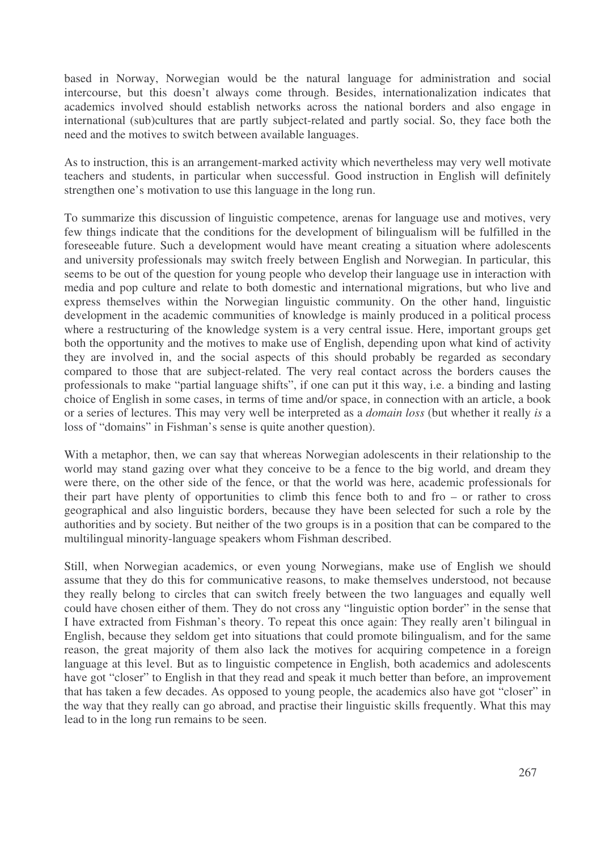based in Norway, Norwegian would be the natural language for administration and social intercourse, but this doesn't always come through. Besides, internationalization indicates that academics involved should establish networks across the national borders and also engage in international (sub)cultures that are partly subject-related and partly social. So, they face both the need and the motives to switch between available languages.

As to instruction, this is an arrangement-marked activity which nevertheless may very well motivate teachers and students, in particular when successful. Good instruction in English will definitely strengthen one's motivation to use this language in the long run.

To summarize this discussion of linguistic competence, arenas for language use and motives, very few things indicate that the conditions for the development of bilingualism will be fulfilled in the foreseeable future. Such a development would have meant creating a situation where adolescents and university professionals may switch freely between English and Norwegian. In particular, this seems to be out of the question for young people who develop their language use in interaction with media and pop culture and relate to both domestic and international migrations, but who live and express themselves within the Norwegian linguistic community. On the other hand, linguistic development in the academic communities of knowledge is mainly produced in a political process where a restructuring of the knowledge system is a very central issue. Here, important groups get both the opportunity and the motives to make use of English, depending upon what kind of activity they are involved in, and the social aspects of this should probably be regarded as secondary compared to those that are subject-related. The very real contact across the borders causes the professionals to make "partial language shifts", if one can put it this way, i.e. a binding and lasting choice of English in some cases, in terms of time and/or space, in connection with an article, a book or a series of lectures. This may very well be interpreted as a *domain loss* (but whether it really *is* a loss of "domains" in Fishman's sense is quite another question).

With a metaphor, then, we can say that whereas Norwegian adolescents in their relationship to the world may stand gazing over what they conceive to be a fence to the big world, and dream they were there, on the other side of the fence, or that the world was here, academic professionals for their part have plenty of opportunities to climb this fence both to and fro – or rather to cross geographical and also linguistic borders, because they have been selected for such a role by the authorities and by society. But neither of the two groups is in a position that can be compared to the multilingual minority-language speakers whom Fishman described.

Still, when Norwegian academics, or even young Norwegians, make use of English we should assume that they do this for communicative reasons, to make themselves understood, not because they really belong to circles that can switch freely between the two languages and equally well could have chosen either of them. They do not cross any "linguistic option border" in the sense that I have extracted from Fishman's theory. To repeat this once again: They really aren't bilingual in English, because they seldom get into situations that could promote bilingualism, and for the same reason, the great majority of them also lack the motives for acquiring competence in a foreign language at this level. But as to linguistic competence in English, both academics and adolescents have got "closer" to English in that they read and speak it much better than before, an improvement that has taken a few decades. As opposed to young people, the academics also have got "closer" in the way that they really can go abroad, and practise their linguistic skills frequently. What this may lead to in the long run remains to be seen.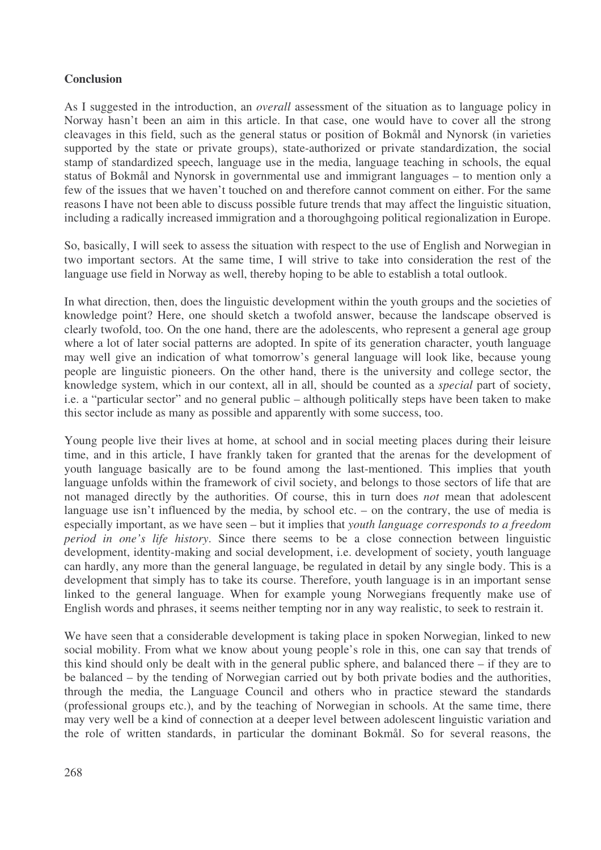# **Conclusion**

As I suggested in the introduction, an *overall* assessment of the situation as to language policy in Norway hasn't been an aim in this article. In that case, one would have to cover all the strong cleavages in this field, such as the general status or position of Bokmål and Nynorsk (in varieties supported by the state or private groups), state-authorized or private standardization, the social stamp of standardized speech, language use in the media, language teaching in schools, the equal status of Bokmål and Nynorsk in governmental use and immigrant languages – to mention only a few of the issues that we haven't touched on and therefore cannot comment on either. For the same reasons I have not been able to discuss possible future trends that may affect the linguistic situation, including a radically increased immigration and a thoroughgoing political regionalization in Europe.

So, basically, I will seek to assess the situation with respect to the use of English and Norwegian in two important sectors. At the same time, I will strive to take into consideration the rest of the language use field in Norway as well, thereby hoping to be able to establish a total outlook.

In what direction, then, does the linguistic development within the youth groups and the societies of knowledge point? Here, one should sketch a twofold answer, because the landscape observed is clearly twofold, too. On the one hand, there are the adolescents, who represent a general age group where a lot of later social patterns are adopted. In spite of its generation character, youth language may well give an indication of what tomorrow's general language will look like, because young people are linguistic pioneers. On the other hand, there is the university and college sector, the knowledge system, which in our context, all in all, should be counted as a *special* part of society, i.e. a "particular sector" and no general public – although politically steps have been taken to make this sector include as many as possible and apparently with some success, too.

Young people live their lives at home, at school and in social meeting places during their leisure time, and in this article, I have frankly taken for granted that the arenas for the development of youth language basically are to be found among the last-mentioned. This implies that youth language unfolds within the framework of civil society, and belongs to those sectors of life that are not managed directly by the authorities. Of course, this in turn does *not* mean that adolescent language use isn't influenced by the media, by school etc. – on the contrary, the use of media is especially important, as we have seen – but it implies that *youth language corresponds to a freedom period in one's life history*. Since there seems to be a close connection between linguistic development, identity-making and social development, i.e. development of society, youth language can hardly, any more than the general language, be regulated in detail by any single body. This is a development that simply has to take its course. Therefore, youth language is in an important sense linked to the general language. When for example young Norwegians frequently make use of English words and phrases, it seems neither tempting nor in any way realistic, to seek to restrain it.

We have seen that a considerable development is taking place in spoken Norwegian, linked to new social mobility. From what we know about young people's role in this, one can say that trends of this kind should only be dealt with in the general public sphere, and balanced there – if they are to be balanced – by the tending of Norwegian carried out by both private bodies and the authorities, through the media, the Language Council and others who in practice steward the standards (professional groups etc.), and by the teaching of Norwegian in schools. At the same time, there may very well be a kind of connection at a deeper level between adolescent linguistic variation and the role of written standards, in particular the dominant Bokmål. So for several reasons, the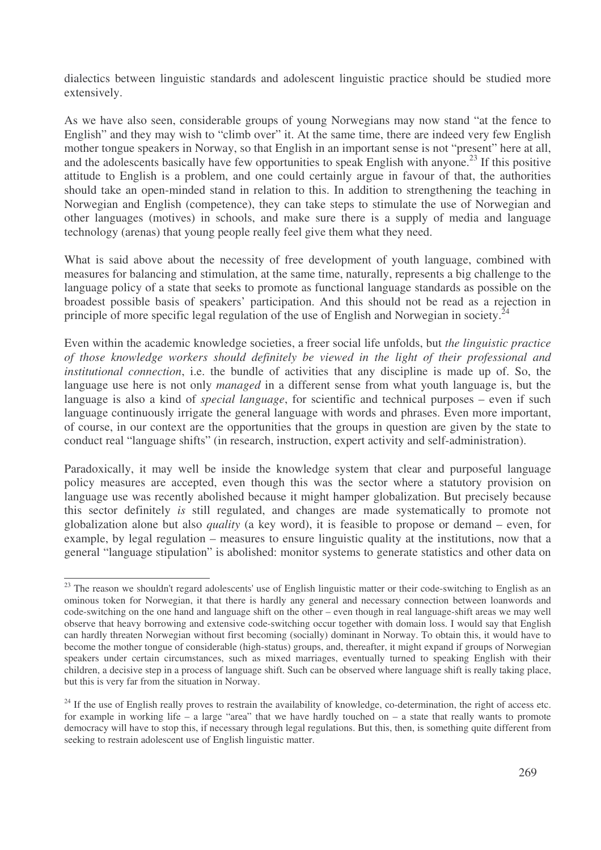dialectics between linguistic standards and adolescent linguistic practice should be studied more extensively.

As we have also seen, considerable groups of young Norwegians may now stand "at the fence to English" and they may wish to "climb over" it. At the same time, there are indeed very few English mother tongue speakers in Norway, so that English in an important sense is not "present" here at all, and the adolescents basically have few opportunities to speak English with anyone. 23 If this positive attitude to English is a problem, and one could certainly argue in favour of that, the authorities should take an open-minded stand in relation to this. In addition to strengthening the teaching in Norwegian and English (competence), they can take steps to stimulate the use of Norwegian and other languages (motives) in schools, and make sure there is a supply of media and language technology (arenas) that young people really feel give them what they need.

What is said above about the necessity of free development of youth language, combined with measures for balancing and stimulation, at the same time, naturally, represents a big challenge to the language policy of a state that seeks to promote as functional language standards as possible on the broadest possible basis of speakers' participation. And this should not be read as a rejection in principle of more specific legal regulation of the use of English and Norwegian in society.<sup>24</sup>

Even within the academic knowledge societies, a freer social life unfolds, but *the linguistic practice of those knowledge workers should definitely be viewed in the light of their professional and institutional connection*, i.e. the bundle of activities that any discipline is made up of. So, the language use here is not only *managed* in a different sense from what youth language is, but the language is also a kind of *special language*, for scientific and technical purposes – even if such language continuously irrigate the general language with words and phrases. Even more important, of course, in our context are the opportunities that the groups in question are given by the state to conduct real "language shifts" (in research, instruction, expert activity and self-administration).

Paradoxically, it may well be inside the knowledge system that clear and purposeful language policy measures are accepted, even though this was the sector where a statutory provision on language use was recently abolished because it might hamper globalization. But precisely because this sector definitely *is* still regulated, and changes are made systematically to promote not globalization alone but also *quality* (a key word), it is feasible to propose or demand – even, for example, by legal regulation – measures to ensure linguistic quality at the institutions, now that a general "language stipulation" is abolished: monitor systems to generate statistics and other data on

<sup>&</sup>lt;sup>23</sup> The reason we shouldn't regard adolescents' use of English linguistic matter or their code-switching to English as an ominous token for Norwegian, it that there is hardly any general and necessary connection between loanwords and code-switching on the one hand and language shift on the other – even though in real language-shift areas we may well observe that heavy borrowing and extensive code-switching occur together with domain loss. I would say that English can hardly threaten Norwegian without first becoming (socially) dominant in Norway. To obtain this, it would have to become the mother tongue of considerable (high-status) groups, and, thereafter, it might expand if groups of Norwegian speakers under certain circumstances, such as mixed marriages, eventually turned to speaking English with their children, a decisive step in a process of language shift. Such can be observed where language shift is really taking place, but this is very far from the situation in Norway.

<sup>&</sup>lt;sup>24</sup> If the use of English really proves to restrain the availability of knowledge, co-determination, the right of access etc. for example in working life – a large "area" that we have hardly touched on – a state that really wants to promote democracy will have to stop this, if necessary through legal regulations. But this, then, is something quite different from seeking to restrain adolescent use of English linguistic matter.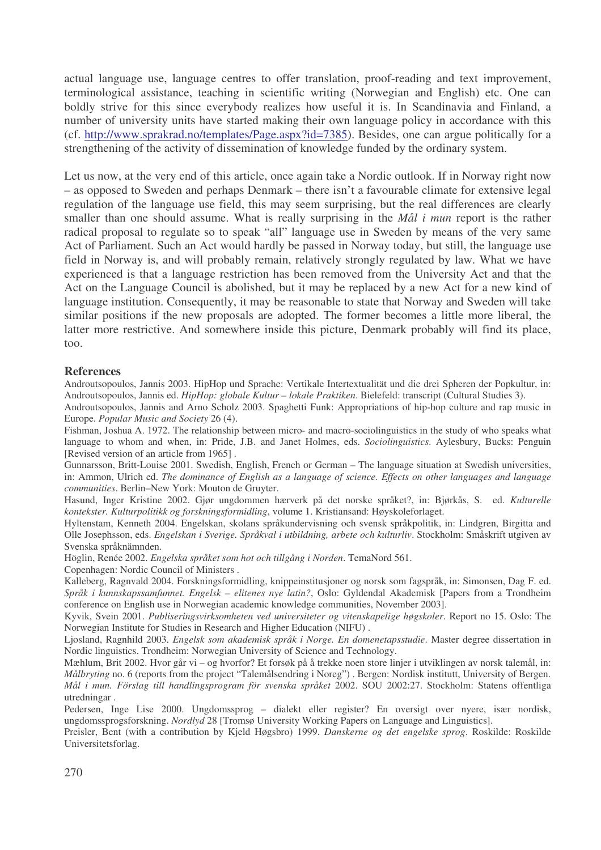actual language use, language centres to offer translation, proof-reading and text improvement, terminological assistance, teaching in scientific writing (Norwegian and English) etc. One can boldly strive for this since everybody realizes how useful it is. In Scandinavia and Finland, a number of university units have started making their own language policy in accordance with this (cf. http://www.sprakrad.no/templates/Page.aspx?id=7385). Besides, one can argue politically for a strengthening of the activity of dissemination of knowledge funded by the ordinary system.

Let us now, at the very end of this article, once again take a Nordic outlook. If in Norway right now – as opposed to Sweden and perhaps Denmark – there isn't a favourable climate for extensive legal regulation of the language use field, this may seem surprising, but the real differences are clearly smaller than one should assume. What is really surprising in the *Mål i mun* report is the rather radical proposal to regulate so to speak "all" language use in Sweden by means of the very same Act of Parliament. Such an Act would hardly be passed in Norway today, but still, the language use field in Norway is, and will probably remain, relatively strongly regulated by law. What we have experienced is that a language restriction has been removed from the University Act and that the Act on the Language Council is abolished, but it may be replaced by a new Act for a new kind of language institution. Consequently, it may be reasonable to state that Norway and Sweden will take similar positions if the new proposals are adopted. The former becomes a little more liberal, the latter more restrictive. And somewhere inside this picture, Denmark probably will find its place, too.

#### **References**

Androutsopoulos, Jannis 2003. HipHop und Sprache: Vertikale Intertextualität und die drei Spheren der Popkultur, in: Androutsopoulos, Jannis ed. *HipHop: globale Kultur – lokale Praktiken*. Bielefeld: transcript (Cultural Studies 3).

Androutsopoulos, Jannis and Arno Scholz 2003. Spaghetti Funk: Appropriations of hip-hop culture and rap music in Europe. *Popular Music and Society* 26 (4).

Fishman, Joshua A. 1972. The relationship between micro- and macro-sociolinguistics in the study of who speaks what language to whom and when, in: Pride, J.B. and Janet Holmes, eds. *Sociolinguistics*. Aylesbury, Bucks: Penguin [Revised version of an article from 1965] .

Gunnarsson, Britt-Louise 2001. Swedish, English, French or German – The language situation at Swedish universities, in: Ammon, Ulrich ed. *The dominance of English as a language of science. Effects on other languages and language communities*. Berlin–New York: Mouton de Gruyter.

Hasund, Inger Kristine 2002. Gjør ungdommen hærverk på det norske språket?, in: Bjørkås, S. ed. *Kulturelle kontekster. Kulturpolitikk og forskningsformidling*, volume 1. Kristiansand: Høyskoleforlaget.

Hyltenstam, Kenneth 2004. Engelskan, skolans språkundervisning och svensk språkpolitik, in: Lindgren, Birgitta and Olle Josephsson, eds. *Engelskan i Sverige. Språkval i utbildning, arbete och kulturliv*. Stockholm: Småskrift utgiven av Svenska språknämnden.

Höglin, Renée 2002. *Engelska språket som hot och tillgång i Norden*. TemaNord 561.

Copenhagen: Nordic Council of Ministers .

Kalleberg, Ragnvald 2004. Forskningsformidling, knippeinstitusjoner og norsk som fagspråk, in: Simonsen, Dag F. ed. *Språk i kunnskapssamfunnet. Engelsk – elitenes nye latin?*, Oslo: Gyldendal Akademisk [Papers from a Trondheim conference on English use in Norwegian academic knowledge communities, November 2003].

Kyvik, Svein 2001. *Publiseringsvirksomheten ved universiteter og vitenskapelige høgskoler*. Report no 15. Oslo: The Norwegian Institute for Studies in Research and Higher Education (NIFU) .

Ljosland, Ragnhild 2003. *Engelsk som akademisk språk i Norge. En domenetapsstudie*. Master degree dissertation in Nordic linguistics. Trondheim: Norwegian University of Science and Technology.

Mæhlum, Brit 2002. Hvor går vi – og hvorfor? Et forsøk på å trekke noen store linjer i utviklingen av norsk talemål, in: *Målbryting* no. 6 (reports from the project "Talemålsendring i Noreg") . Bergen: Nordisk institutt, University of Bergen. *Mål i mun. Förslag till handlingsprogram för svenska språket* 2002. SOU 2002:27. Stockholm: Statens offentliga utredningar .

Pedersen, Inge Lise 2000. Ungdomssprog – dialekt eller register? En oversigt over nyere, især nordisk, ungdomssprogsforskning. *Nordlyd* 28 [Tromsø University Working Papers on Language and Linguistics].

Preisler, Bent (with a contribution by Kjeld Høgsbro) 1999. *Danskerne og det engelske sprog*. Roskilde: Roskilde Universitetsforlag.